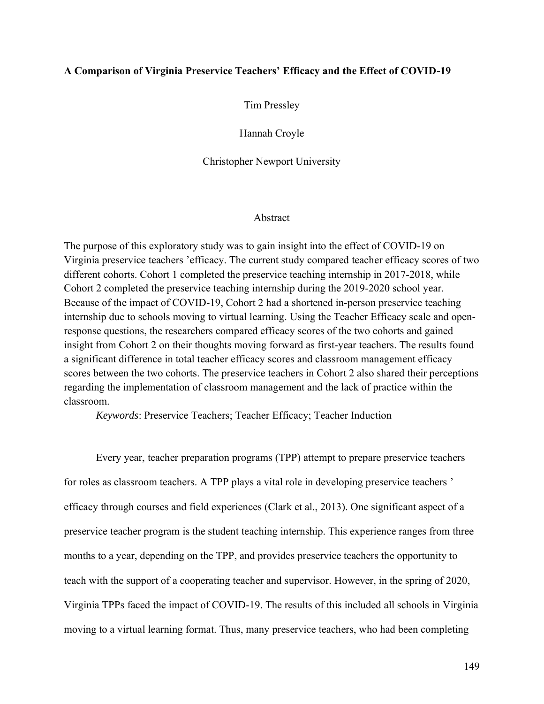# **A Comparison of Virginia Preservice Teachers' Efficacy and the Effect of COVID-19**

Tim Pressley

Hannah Croyle

Christopher Newport University

## Abstract

The purpose of this exploratory study was to gain insight into the effect of COVID-19 on Virginia preservice teachers 'efficacy. The current study compared teacher efficacy scores of two different cohorts. Cohort 1 completed the preservice teaching internship in 2017-2018, while Cohort 2 completed the preservice teaching internship during the 2019-2020 school year. Because of the impact of COVID-19, Cohort 2 had a shortened in-person preservice teaching internship due to schools moving to virtual learning. Using the Teacher Efficacy scale and openresponse questions, the researchers compared efficacy scores of the two cohorts and gained insight from Cohort 2 on their thoughts moving forward as first-year teachers. The results found a significant difference in total teacher efficacy scores and classroom management efficacy scores between the two cohorts. The preservice teachers in Cohort 2 also shared their perceptions regarding the implementation of classroom management and the lack of practice within the classroom.

*Keywords*: Preservice Teachers; Teacher Efficacy; Teacher Induction

Every year, teacher preparation programs (TPP) attempt to prepare preservice teachers for roles as classroom teachers. A TPP plays a vital role in developing preservice teachers ' efficacy through courses and field experiences (Clark et al., 2013). One significant aspect of a preservice teacher program is the student teaching internship. This experience ranges from three months to a year, depending on the TPP, and provides preservice teachers the opportunity to teach with the support of a cooperating teacher and supervisor. However, in the spring of 2020, Virginia TPPs faced the impact of COVID-19. The results of this included all schools in Virginia moving to a virtual learning format. Thus, many preservice teachers, who had been completing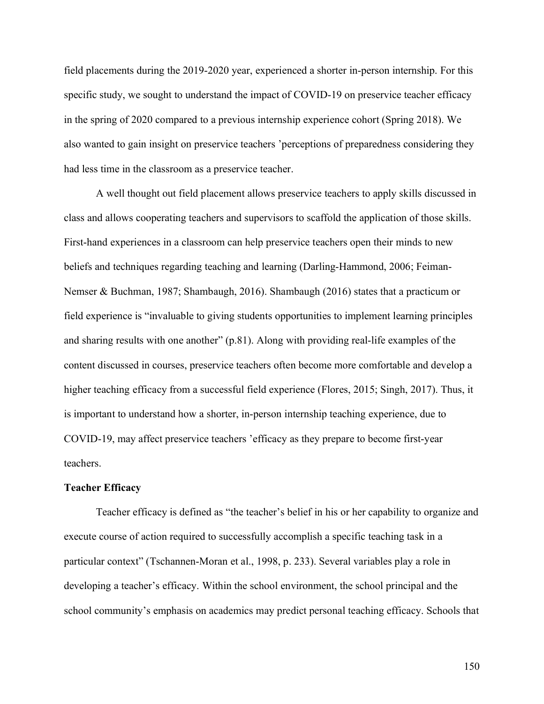field placements during the 2019-2020 year, experienced a shorter in-person internship. For this specific study, we sought to understand the impact of COVID-19 on preservice teacher efficacy in the spring of 2020 compared to a previous internship experience cohort (Spring 2018). We also wanted to gain insight on preservice teachers 'perceptions of preparedness considering they had less time in the classroom as a preservice teacher.

A well thought out field placement allows preservice teachers to apply skills discussed in class and allows cooperating teachers and supervisors to scaffold the application of those skills. First-hand experiences in a classroom can help preservice teachers open their minds to new beliefs and techniques regarding teaching and learning (Darling-Hammond, 2006; Feiman-Nemser & Buchman, 1987; Shambaugh, 2016). Shambaugh (2016) states that a practicum or field experience is "invaluable to giving students opportunities to implement learning principles and sharing results with one another" (p.81). Along with providing real-life examples of the content discussed in courses, preservice teachers often become more comfortable and develop a higher teaching efficacy from a successful field experience (Flores, 2015; Singh, 2017). Thus, it is important to understand how a shorter, in-person internship teaching experience, due to COVID-19, may affect preservice teachers 'efficacy as they prepare to become first-year teachers.

#### **Teacher Efficacy**

Teacher efficacy is defined as "the teacher's belief in his or her capability to organize and execute course of action required to successfully accomplish a specific teaching task in a particular context" (Tschannen-Moran et al., 1998, p. 233). Several variables play a role in developing a teacher's efficacy. Within the school environment, the school principal and the school community's emphasis on academics may predict personal teaching efficacy. Schools that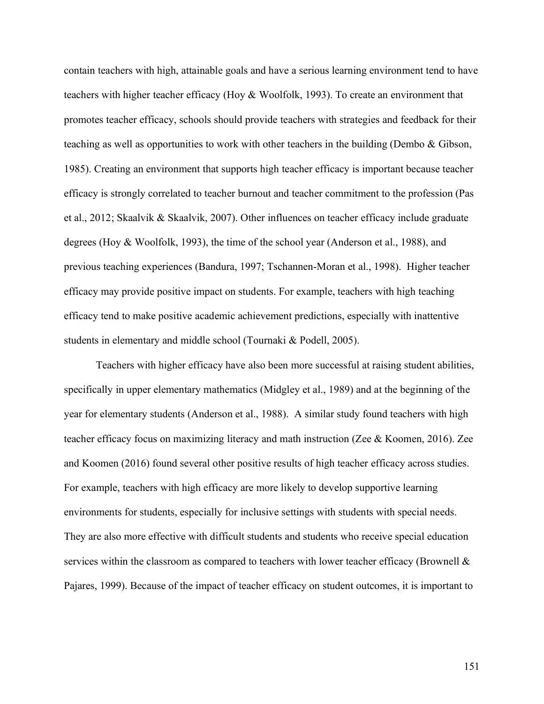contain teachers with high, attainable goals and have a serious learning environment tend to have teachers with higher teacher efficacy (Hoy & Woolfolk, 1993). To create an environment that promotes teacher efficacy, schools should provide teachers with strategies and feedback for their teaching as well as opportunities to work with other teachers in the building (Dembo & Gibson, 1985). Creating an environment that supports high teacher efficacy is important because teacher efficacy is strongly correlated to teacher burnout and teacher commitment to the profession (Pas et al., 2012; Skaalvik & Skaalvik, 2007). Other influences on teacher efficacy include graduate degrees (Hoy & Woolfolk, 1993), the time of the school year (Anderson et al., 1988), and previous teaching experiences (Bandura, 1997; Tschannen-Moran et al., 1998). Higher teacher efficacy may provide positive impact on students. For example, teachers with high teaching efficacy tend to make positive academic achievement predictions, especially with inattentive students in elementary and middle school (Tournaki & Podell, 2005).

Teachers with higher efficacy have also been more successful at raising student abilities, specifically in upper elementary mathematics (Midgley et al., 1989) and at the beginning of the year for elementary students (Anderson et al., 1988). A similar study found teachers with high teacher efficacy focus on maximizing literacy and math instruction (Zee & Koomen, 2016). Zee and Koomen (2016) found several other positive results of high teacher efficacy across studies. For example, teachers with high efficacy are more likely to develop supportive learning environments for students, especially for inclusive settings with students with special needs. They are also more effective with difficult students and students who receive special education services within the classroom as compared to teachers with lower teacher efficacy (Brownell  $\&$ Pajares, 1999). Because of the impact of teacher efficacy on student outcomes, it is important to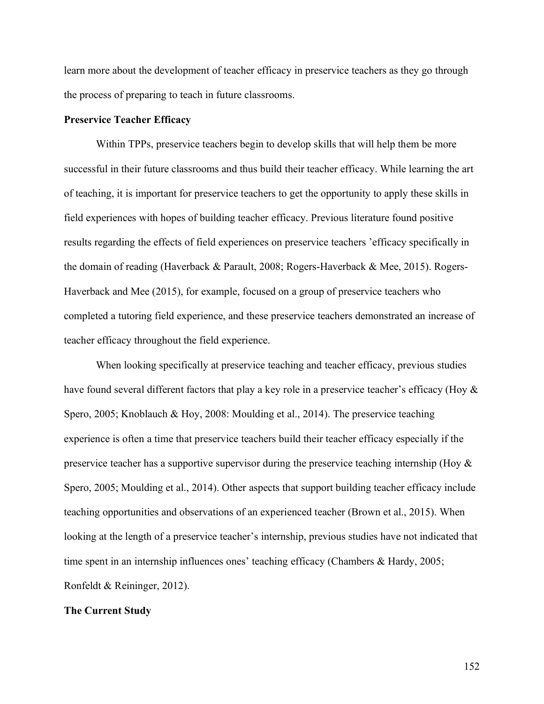learn more about the development of teacher efficacy in preservice teachers as they go through the process of preparing to teach in future classrooms.

# **Preservice Teacher Efficacy**

Within TPPs, preservice teachers begin to develop skills that will help them be more successful in their future classrooms and thus build their teacher efficacy. While learning the art of teaching, it is important for preservice teachers to get the opportunity to apply these skills in field experiences with hopes of building teacher efficacy. Previous literature found positive results regarding the effects of field experiences on preservice teachers 'efficacy specifically in the domain of reading (Haverback & Parault, 2008; Rogers-Haverback & Mee, 2015). Rogers-Haverback and Mee (2015), for example, focused on a group of preservice teachers who completed a tutoring field experience, and these preservice teachers demonstrated an increase of teacher efficacy throughout the field experience.

When looking specifically at preservice teaching and teacher efficacy, previous studies have found several different factors that play a key role in a preservice teacher's efficacy (Hoy  $\&$ Spero, 2005; Knoblauch & Hoy, 2008: Moulding et al., 2014). The preservice teaching experience is often a time that preservice teachers build their teacher efficacy especially if the preservice teacher has a supportive supervisor during the preservice teaching internship (Hoy & Spero, 2005; Moulding et al., 2014). Other aspects that support building teacher efficacy include teaching opportunities and observations of an experienced teacher (Brown et al., 2015). When looking at the length of a preservice teacher's internship, previous studies have not indicated that time spent in an internship influences ones' teaching efficacy (Chambers & Hardy, 2005; Ronfeldt & Reininger, 2012).

## **The Current Study**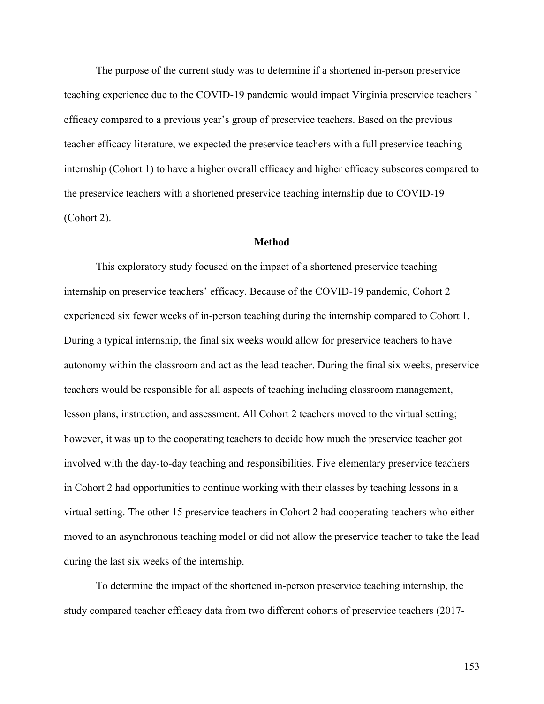The purpose of the current study was to determine if a shortened in-person preservice teaching experience due to the COVID-19 pandemic would impact Virginia preservice teachers ' efficacy compared to a previous year's group of preservice teachers. Based on the previous teacher efficacy literature, we expected the preservice teachers with a full preservice teaching internship (Cohort 1) to have a higher overall efficacy and higher efficacy subscores compared to the preservice teachers with a shortened preservice teaching internship due to COVID-19 (Cohort 2).

# **Method**

This exploratory study focused on the impact of a shortened preservice teaching internship on preservice teachers' efficacy. Because of the COVID-19 pandemic, Cohort 2 experienced six fewer weeks of in-person teaching during the internship compared to Cohort 1. During a typical internship, the final six weeks would allow for preservice teachers to have autonomy within the classroom and act as the lead teacher. During the final six weeks, preservice teachers would be responsible for all aspects of teaching including classroom management, lesson plans, instruction, and assessment. All Cohort 2 teachers moved to the virtual setting; however, it was up to the cooperating teachers to decide how much the preservice teacher got involved with the day-to-day teaching and responsibilities. Five elementary preservice teachers in Cohort 2 had opportunities to continue working with their classes by teaching lessons in a virtual setting. The other 15 preservice teachers in Cohort 2 had cooperating teachers who either moved to an asynchronous teaching model or did not allow the preservice teacher to take the lead during the last six weeks of the internship.

To determine the impact of the shortened in-person preservice teaching internship, the study compared teacher efficacy data from two different cohorts of preservice teachers (2017-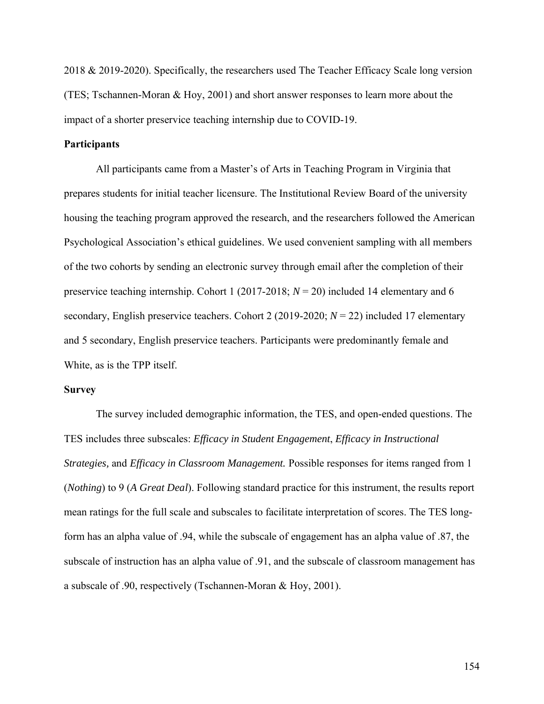2018 & 2019-2020). Specifically, the researchers used The Teacher Efficacy Scale long version (TES; Tschannen-Moran & Hoy, 2001) and short answer responses to learn more about the impact of a shorter preservice teaching internship due to COVID-19.

# **Participants**

All participants came from a Master's of Arts in Teaching Program in Virginia that prepares students for initial teacher licensure. The Institutional Review Board of the university housing the teaching program approved the research, and the researchers followed the American Psychological Association's ethical guidelines. We used convenient sampling with all members of the two cohorts by sending an electronic survey through email after the completion of their preservice teaching internship. Cohort 1 (2017-2018; *N* = 20) included 14 elementary and 6 secondary, English preservice teachers. Cohort 2 (2019-2020; *N* = 22) included 17 elementary and 5 secondary, English preservice teachers. Participants were predominantly female and White, as is the TPP itself.

## **Survey**

The survey included demographic information, the TES, and open-ended questions. The TES includes three subscales: *Efficacy in Student Engagement*, *Efficacy in Instructional Strategies,* and *Efficacy in Classroom Management.* Possible responses for items ranged from 1 (*Nothing*) to 9 (*A Great Deal*). Following standard practice for this instrument, the results report mean ratings for the full scale and subscales to facilitate interpretation of scores. The TES longform has an alpha value of .94, while the subscale of engagement has an alpha value of .87, the subscale of instruction has an alpha value of .91, and the subscale of classroom management has a subscale of .90, respectively (Tschannen-Moran & Hoy, 2001).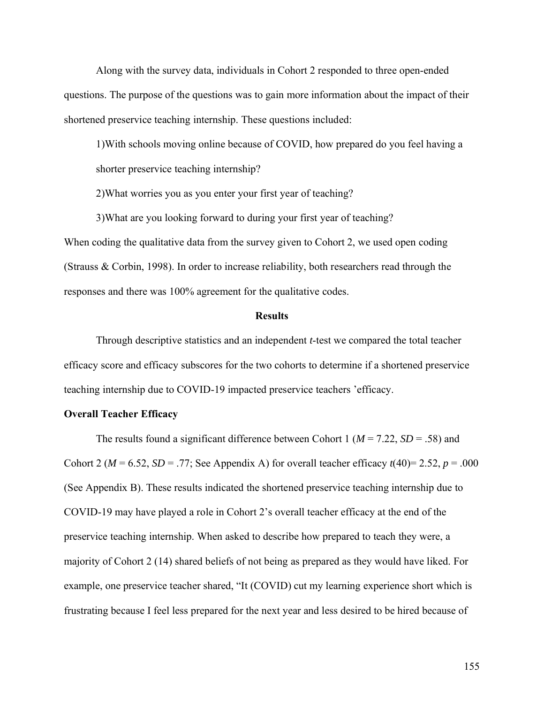Along with the survey data, individuals in Cohort 2 responded to three open-ended questions. The purpose of the questions was to gain more information about the impact of their shortened preservice teaching internship. These questions included:

1)With schools moving online because of COVID, how prepared do you feel having a shorter preservice teaching internship?

2)What worries you as you enter your first year of teaching?

3)What are you looking forward to during your first year of teaching?

When coding the qualitative data from the survey given to Cohort 2, we used open coding (Strauss & Corbin, 1998). In order to increase reliability, both researchers read through the responses and there was 100% agreement for the qualitative codes.

## **Results**

Through descriptive statistics and an independent *t*-test we compared the total teacher efficacy score and efficacy subscores for the two cohorts to determine if a shortened preservice teaching internship due to COVID-19 impacted preservice teachers 'efficacy.

# **Overall Teacher Efficacy**

The results found a significant difference between Cohort 1 (*M* = 7.22, *SD* = .58) and Cohort 2 ( $M = 6.52$ ,  $SD = .77$ ; See Appendix A) for overall teacher efficacy  $t(40) = 2.52$ ,  $p = .000$ (See Appendix B). These results indicated the shortened preservice teaching internship due to COVID-19 may have played a role in Cohort 2's overall teacher efficacy at the end of the preservice teaching internship. When asked to describe how prepared to teach they were, a majority of Cohort 2 (14) shared beliefs of not being as prepared as they would have liked. For example, one preservice teacher shared, "It (COVID) cut my learning experience short which is frustrating because I feel less prepared for the next year and less desired to be hired because of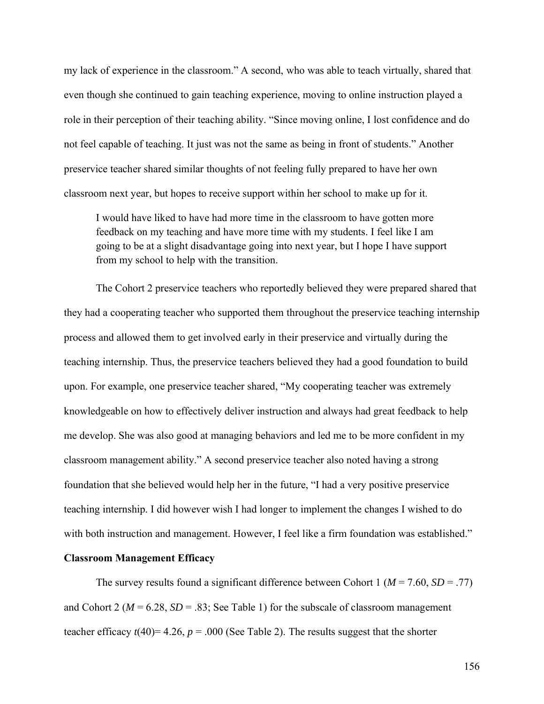my lack of experience in the classroom." A second, who was able to teach virtually, shared that even though she continued to gain teaching experience, moving to online instruction played a role in their perception of their teaching ability. "Since moving online, I lost confidence and do not feel capable of teaching. It just was not the same as being in front of students." Another preservice teacher shared similar thoughts of not feeling fully prepared to have her own classroom next year, but hopes to receive support within her school to make up for it.

I would have liked to have had more time in the classroom to have gotten more feedback on my teaching and have more time with my students. I feel like I am going to be at a slight disadvantage going into next year, but I hope I have support from my school to help with the transition.

The Cohort 2 preservice teachers who reportedly believed they were prepared shared that they had a cooperating teacher who supported them throughout the preservice teaching internship process and allowed them to get involved early in their preservice and virtually during the teaching internship. Thus, the preservice teachers believed they had a good foundation to build upon. For example, one preservice teacher shared, "My cooperating teacher was extremely knowledgeable on how to effectively deliver instruction and always had great feedback to help me develop. She was also good at managing behaviors and led me to be more confident in my classroom management ability." A second preservice teacher also noted having a strong foundation that she believed would help her in the future, "I had a very positive preservice teaching internship. I did however wish I had longer to implement the changes I wished to do with both instruction and management. However, I feel like a firm foundation was established."

# **Classroom Management Efficacy**

The survey results found a significant difference between Cohort 1 ( $M = 7.60$ ,  $SD = .77$ ) and Cohort 2 ( $M = 6.28$ ,  $SD = .83$ ; See Table 1) for the subscale of classroom management teacher efficacy  $t(40)=4.26$ ,  $p = .000$  (See Table 2). The results suggest that the shorter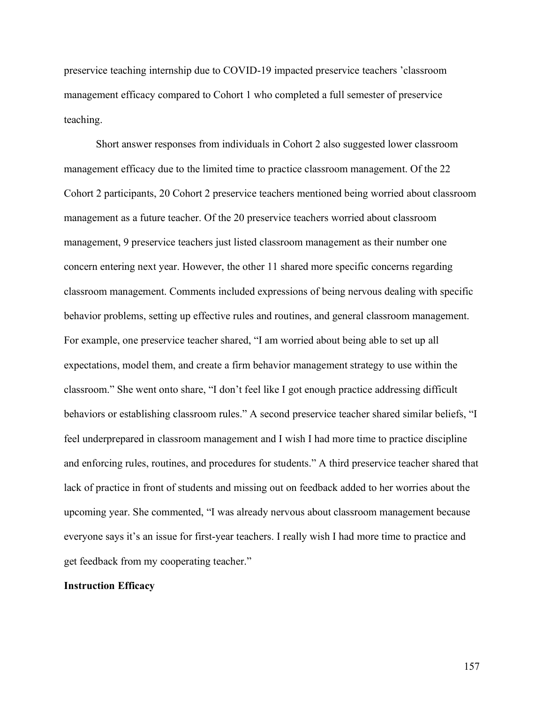preservice teaching internship due to COVID-19 impacted preservice teachers 'classroom management efficacy compared to Cohort 1 who completed a full semester of preservice teaching.

Short answer responses from individuals in Cohort 2 also suggested lower classroom management efficacy due to the limited time to practice classroom management. Of the 22 Cohort 2 participants, 20 Cohort 2 preservice teachers mentioned being worried about classroom management as a future teacher. Of the 20 preservice teachers worried about classroom management, 9 preservice teachers just listed classroom management as their number one concern entering next year. However, the other 11 shared more specific concerns regarding classroom management. Comments included expressions of being nervous dealing with specific behavior problems, setting up effective rules and routines, and general classroom management. For example, one preservice teacher shared, "I am worried about being able to set up all expectations, model them, and create a firm behavior management strategy to use within the classroom." She went onto share, "I don't feel like I got enough practice addressing difficult behaviors or establishing classroom rules." A second preservice teacher shared similar beliefs, "I feel underprepared in classroom management and I wish I had more time to practice discipline and enforcing rules, routines, and procedures for students." A third preservice teacher shared that lack of practice in front of students and missing out on feedback added to her worries about the upcoming year. She commented, "I was already nervous about classroom management because everyone says it's an issue for first-year teachers. I really wish I had more time to practice and get feedback from my cooperating teacher."

# **Instruction Efficacy**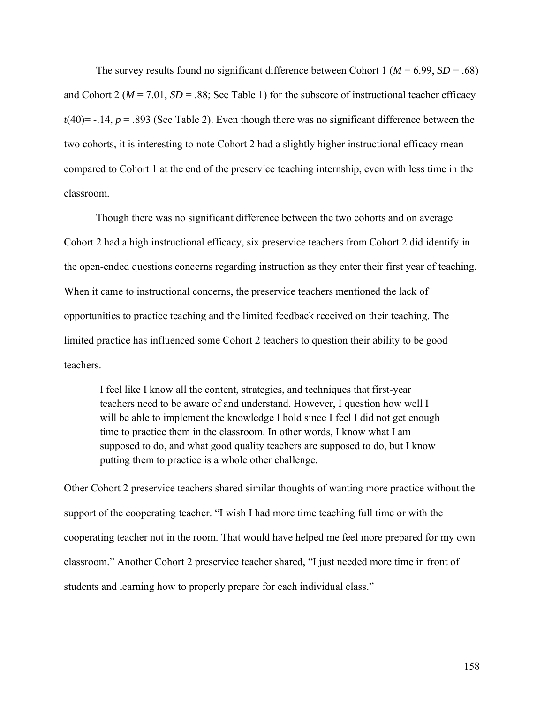The survey results found no significant difference between Cohort 1 ( $M = 6.99$ ,  $SD = .68$ ) and Cohort 2 ( $M = 7.01$ ,  $SD = .88$ ; See Table 1) for the subscore of instructional teacher efficacy  $t(40)$ = -.14,  $p = .893$  (See Table 2). Even though there was no significant difference between the two cohorts, it is interesting to note Cohort 2 had a slightly higher instructional efficacy mean compared to Cohort 1 at the end of the preservice teaching internship, even with less time in the classroom.

Though there was no significant difference between the two cohorts and on average Cohort 2 had a high instructional efficacy, six preservice teachers from Cohort 2 did identify in the open-ended questions concerns regarding instruction as they enter their first year of teaching. When it came to instructional concerns, the preservice teachers mentioned the lack of opportunities to practice teaching and the limited feedback received on their teaching. The limited practice has influenced some Cohort 2 teachers to question their ability to be good teachers.

I feel like I know all the content, strategies, and techniques that first-year teachers need to be aware of and understand. However, I question how well I will be able to implement the knowledge I hold since I feel I did not get enough time to practice them in the classroom. In other words, I know what I am supposed to do, and what good quality teachers are supposed to do, but I know putting them to practice is a whole other challenge.

Other Cohort 2 preservice teachers shared similar thoughts of wanting more practice without the support of the cooperating teacher. "I wish I had more time teaching full time or with the cooperating teacher not in the room. That would have helped me feel more prepared for my own classroom." Another Cohort 2 preservice teacher shared, "I just needed more time in front of students and learning how to properly prepare for each individual class."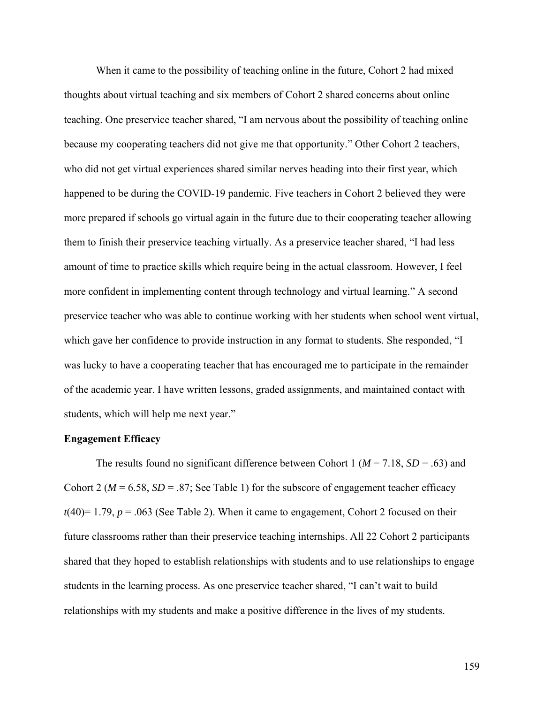When it came to the possibility of teaching online in the future, Cohort 2 had mixed thoughts about virtual teaching and six members of Cohort 2 shared concerns about online teaching. One preservice teacher shared, "I am nervous about the possibility of teaching online because my cooperating teachers did not give me that opportunity." Other Cohort 2 teachers, who did not get virtual experiences shared similar nerves heading into their first year, which happened to be during the COVID-19 pandemic. Five teachers in Cohort 2 believed they were more prepared if schools go virtual again in the future due to their cooperating teacher allowing them to finish their preservice teaching virtually. As a preservice teacher shared, "I had less amount of time to practice skills which require being in the actual classroom. However, I feel more confident in implementing content through technology and virtual learning." A second preservice teacher who was able to continue working with her students when school went virtual, which gave her confidence to provide instruction in any format to students. She responded, "I was lucky to have a cooperating teacher that has encouraged me to participate in the remainder of the academic year. I have written lessons, graded assignments, and maintained contact with students, which will help me next year."

#### **Engagement Efficacy**

The results found no significant difference between Cohort 1 ( $M = 7.18$ ,  $SD = .63$ ) and Cohort 2 ( $M = 6.58$ ,  $SD = .87$ ; See Table 1) for the subscore of engagement teacher efficacy  $t(40)=1.79$ ,  $p = .063$  (See Table 2). When it came to engagement, Cohort 2 focused on their future classrooms rather than their preservice teaching internships. All 22 Cohort 2 participants shared that they hoped to establish relationships with students and to use relationships to engage students in the learning process. As one preservice teacher shared, "I can't wait to build relationships with my students and make a positive difference in the lives of my students.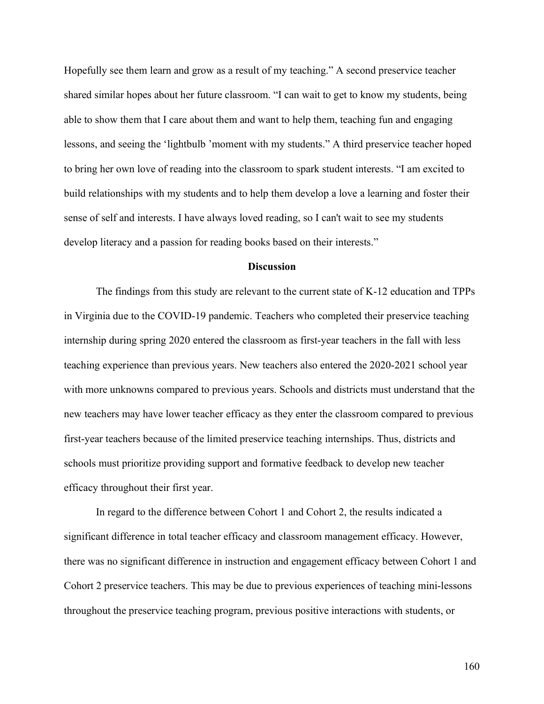Hopefully see them learn and grow as a result of my teaching." A second preservice teacher shared similar hopes about her future classroom. "I can wait to get to know my students, being able to show them that I care about them and want to help them, teaching fun and engaging lessons, and seeing the 'lightbulb 'moment with my students." A third preservice teacher hoped to bring her own love of reading into the classroom to spark student interests. "I am excited to build relationships with my students and to help them develop a love a learning and foster their sense of self and interests. I have always loved reading, so I can't wait to see my students develop literacy and a passion for reading books based on their interests."

## **Discussion**

The findings from this study are relevant to the current state of K-12 education and TPPs in Virginia due to the COVID-19 pandemic. Teachers who completed their preservice teaching internship during spring 2020 entered the classroom as first-year teachers in the fall with less teaching experience than previous years. New teachers also entered the 2020-2021 school year with more unknowns compared to previous years. Schools and districts must understand that the new teachers may have lower teacher efficacy as they enter the classroom compared to previous first-year teachers because of the limited preservice teaching internships. Thus, districts and schools must prioritize providing support and formative feedback to develop new teacher efficacy throughout their first year.

In regard to the difference between Cohort 1 and Cohort 2, the results indicated a significant difference in total teacher efficacy and classroom management efficacy. However, there was no significant difference in instruction and engagement efficacy between Cohort 1 and Cohort 2 preservice teachers. This may be due to previous experiences of teaching mini-lessons throughout the preservice teaching program, previous positive interactions with students, or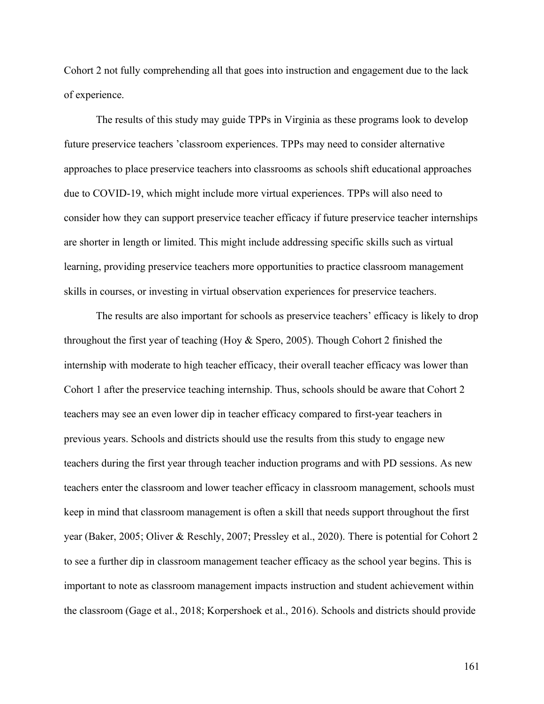Cohort 2 not fully comprehending all that goes into instruction and engagement due to the lack of experience.

The results of this study may guide TPPs in Virginia as these programs look to develop future preservice teachers 'classroom experiences. TPPs may need to consider alternative approaches to place preservice teachers into classrooms as schools shift educational approaches due to COVID-19, which might include more virtual experiences. TPPs will also need to consider how they can support preservice teacher efficacy if future preservice teacher internships are shorter in length or limited. This might include addressing specific skills such as virtual learning, providing preservice teachers more opportunities to practice classroom management skills in courses, or investing in virtual observation experiences for preservice teachers.

The results are also important for schools as preservice teachers' efficacy is likely to drop throughout the first year of teaching (Hoy & Spero, 2005). Though Cohort 2 finished the internship with moderate to high teacher efficacy, their overall teacher efficacy was lower than Cohort 1 after the preservice teaching internship. Thus, schools should be aware that Cohort 2 teachers may see an even lower dip in teacher efficacy compared to first-year teachers in previous years. Schools and districts should use the results from this study to engage new teachers during the first year through teacher induction programs and with PD sessions. As new teachers enter the classroom and lower teacher efficacy in classroom management, schools must keep in mind that classroom management is often a skill that needs support throughout the first year (Baker, 2005; Oliver & Reschly, 2007; Pressley et al., 2020). There is potential for Cohort 2 to see a further dip in classroom management teacher efficacy as the school year begins. This is important to note as classroom management impacts instruction and student achievement within the classroom (Gage et al., 2018; Korpershoek et al., 2016). Schools and districts should provide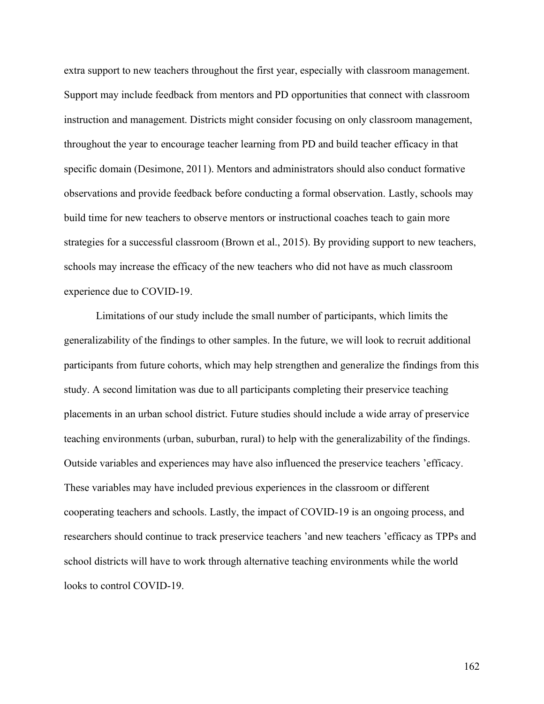extra support to new teachers throughout the first year, especially with classroom management. Support may include feedback from mentors and PD opportunities that connect with classroom instruction and management. Districts might consider focusing on only classroom management, throughout the year to encourage teacher learning from PD and build teacher efficacy in that specific domain (Desimone, 2011). Mentors and administrators should also conduct formative observations and provide feedback before conducting a formal observation. Lastly, schools may build time for new teachers to observe mentors or instructional coaches teach to gain more strategies for a successful classroom (Brown et al., 2015). By providing support to new teachers, schools may increase the efficacy of the new teachers who did not have as much classroom experience due to COVID-19.

Limitations of our study include the small number of participants, which limits the generalizability of the findings to other samples. In the future, we will look to recruit additional participants from future cohorts, which may help strengthen and generalize the findings from this study. A second limitation was due to all participants completing their preservice teaching placements in an urban school district. Future studies should include a wide array of preservice teaching environments (urban, suburban, rural) to help with the generalizability of the findings. Outside variables and experiences may have also influenced the preservice teachers 'efficacy. These variables may have included previous experiences in the classroom or different cooperating teachers and schools. Lastly, the impact of COVID-19 is an ongoing process, and researchers should continue to track preservice teachers 'and new teachers 'efficacy as TPPs and school districts will have to work through alternative teaching environments while the world looks to control COVID-19.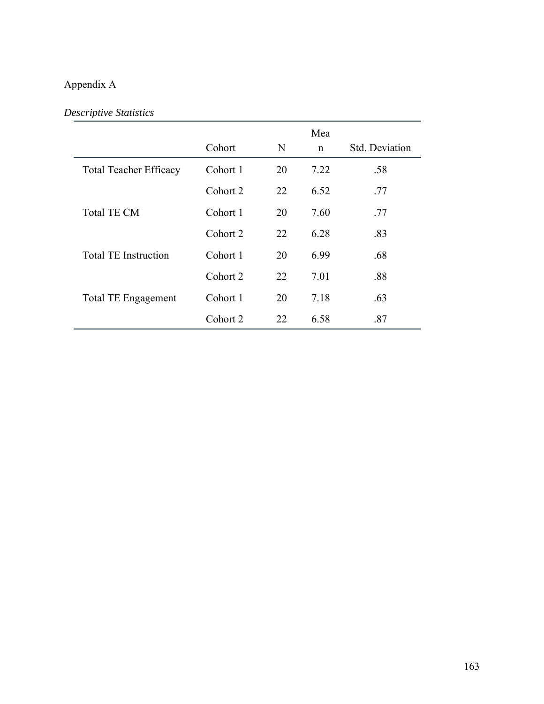# Appendix A

# *Descriptive Statistics*

|                               |          |    | Mea  |                |
|-------------------------------|----------|----|------|----------------|
|                               | Cohort   | N  | n    | Std. Deviation |
| <b>Total Teacher Efficacy</b> | Cohort 1 | 20 | 7.22 | .58            |
|                               | Cohort 2 | 22 | 6.52 | .77            |
| <b>Total TE CM</b>            | Cohort 1 | 20 | 7.60 | .77            |
|                               | Cohort 2 | 22 | 6.28 | .83            |
| <b>Total TE Instruction</b>   | Cohort 1 | 20 | 6.99 | .68            |
|                               | Cohort 2 | 22 | 7.01 | .88            |
| <b>Total TE Engagement</b>    | Cohort 1 | 20 | 7.18 | .63            |
|                               | Cohort 2 | 22 | 6.58 | .87            |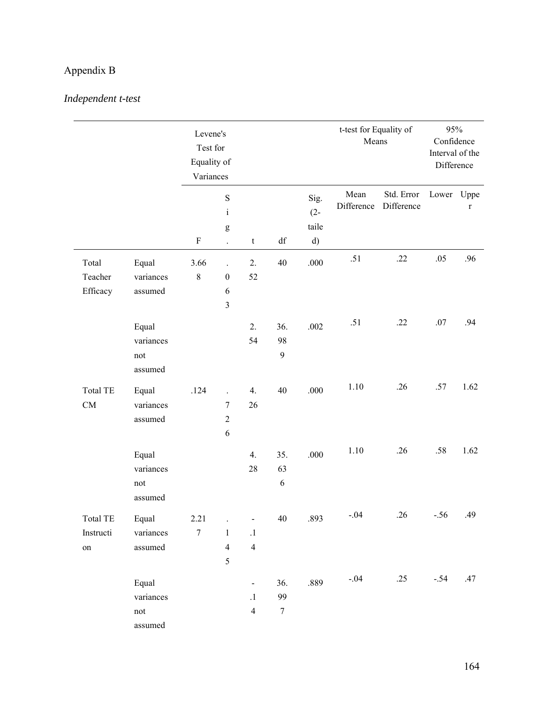# Appendix B

# *Independent t-test*

|                 |                                       | Levene's<br>Test for<br>Equality of<br>Variances |                         |                              |                  |                         | t-test for Equality of<br>Means |                          | 95%<br>Confidence<br>Interval of the<br>Difference |             |
|-----------------|---------------------------------------|--------------------------------------------------|-------------------------|------------------------------|------------------|-------------------------|---------------------------------|--------------------------|----------------------------------------------------|-------------|
|                 |                                       | $\mathbf S$<br>$\rm i$<br>$\mathsf g$            |                         |                              |                  | Sig.<br>$(2 -$<br>taile | Mean<br>Difference              | Std. Error<br>Difference | Lower Uppe                                         | $\mathbf r$ |
|                 |                                       |                                                  |                         |                              |                  |                         |                                 |                          |                                                    |             |
|                 |                                       | $\boldsymbol{\mathrm{F}}$                        | $\ddot{\phantom{0}}$    | t                            | df               | d)                      |                                 |                          |                                                    |             |
| Total           | Equal                                 | 3.66                                             | $\ddot{\phantom{a}}$    | 2.                           | 40               | $.000$                  | .51                             | .22                      | .05                                                | .96         |
| Teacher         | variances                             | 8                                                | $\boldsymbol{0}$        | 52                           |                  |                         |                                 |                          |                                                    |             |
| Efficacy        | assumed                               |                                                  | $\sqrt{6}$              |                              |                  |                         |                                 |                          |                                                    |             |
|                 |                                       |                                                  | $\overline{\mathbf{3}}$ |                              |                  |                         |                                 |                          |                                                    |             |
|                 | Equal                                 |                                                  |                         | 2.                           | 36.              | .002                    | .51                             | .22                      | .07                                                | .94         |
|                 | variances                             |                                                  |                         | 54                           | 98               |                         |                                 |                          |                                                    |             |
|                 | not                                   |                                                  |                         |                              | $\mathbf{9}$     |                         |                                 |                          |                                                    |             |
|                 | assumed                               |                                                  |                         |                              |                  |                         |                                 |                          |                                                    |             |
| <b>Total TE</b> | Equal                                 | .124                                             | $\overline{a}$          | 4.                           | 40               | .000                    | 1.10                            | .26                      | .57                                                | 1.62        |
| ${\rm CM}$      | variances                             |                                                  | $\tau$                  | 26                           |                  |                         |                                 |                          |                                                    |             |
|                 | assumed                               |                                                  | $\overline{2}$          |                              |                  |                         |                                 |                          |                                                    |             |
|                 |                                       |                                                  | 6                       |                              |                  |                         |                                 |                          |                                                    |             |
|                 |                                       |                                                  |                         |                              |                  |                         | 1.10                            | .26                      | .58                                                | 1.62        |
|                 | Equal<br>variances                    |                                                  |                         | 4.<br>28                     | 35.<br>63        | .000                    |                                 |                          |                                                    |             |
|                 | not                                   |                                                  |                         |                              | $\sqrt{6}$       |                         |                                 |                          |                                                    |             |
|                 | assumed                               |                                                  |                         |                              |                  |                         |                                 |                          |                                                    |             |
|                 |                                       |                                                  |                         |                              |                  |                         | .04                             | .26                      | $-.56$                                             | .49         |
| Total TE        | Equal                                 | 2.21                                             | $\ddot{\phantom{a}}$    | $\qquad \qquad \blacksquare$ | 40               | .893                    |                                 |                          |                                                    |             |
| Instructi       | variances                             | $\boldsymbol{7}$                                 | $\mathbf{1}$            | $\cdot$                      |                  |                         |                                 |                          |                                                    |             |
| on              | assumed                               |                                                  | $\overline{4}$<br>5     | $\overline{4}$               |                  |                         |                                 |                          |                                                    |             |
|                 |                                       |                                                  |                         |                              |                  |                         |                                 |                          |                                                    |             |
|                 | Equal                                 |                                                  |                         | $\overline{\phantom{0}}$     | 36.              | .889                    | $-.04$                          | .25                      | $-.54$                                             | .47         |
|                 | variances                             |                                                  |                         | $\cdot$                      | 99               |                         |                                 |                          |                                                    |             |
|                 | $\operatorname*{not}% \mathcal{M}(n)$ |                                                  |                         | $\overline{4}$               | $\boldsymbol{7}$ |                         |                                 |                          |                                                    |             |
|                 | assumed                               |                                                  |                         |                              |                  |                         |                                 |                          |                                                    |             |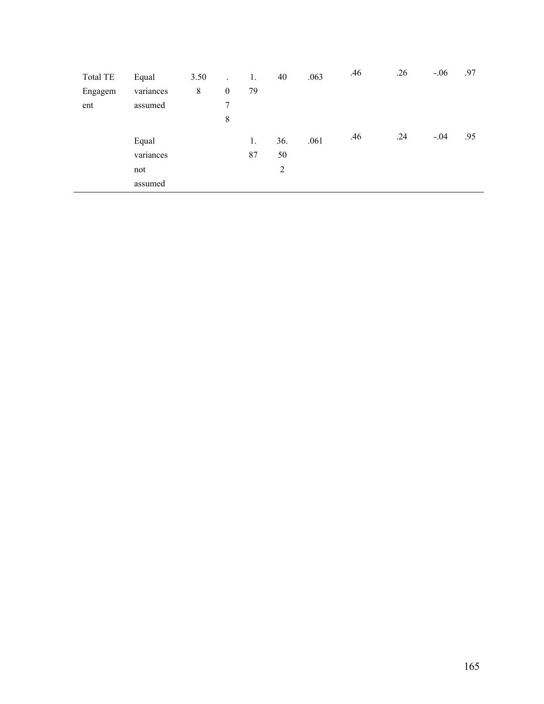| <b>Total TE</b> | Equal     | 3.50  | $\ddot{\phantom{a}}$ | 1. | 40  | .063 | .46 | .26 | $-.06$ | .97 |
|-----------------|-----------|-------|----------------------|----|-----|------|-----|-----|--------|-----|
| Engagem         | variances | $8\,$ | $\boldsymbol{0}$     | 79 |     |      |     |     |        |     |
| ent             | assumed   |       | 7                    |    |     |      |     |     |        |     |
|                 |           |       | 8                    |    |     |      |     |     |        |     |
|                 | Equal     |       |                      | 1. | 36. | .061 | .46 | .24 | $-.04$ | .95 |
|                 | variances |       |                      | 87 | 50  |      |     |     |        |     |
|                 | not       |       |                      |    | 2   |      |     |     |        |     |
|                 | assumed   |       |                      |    |     |      |     |     |        |     |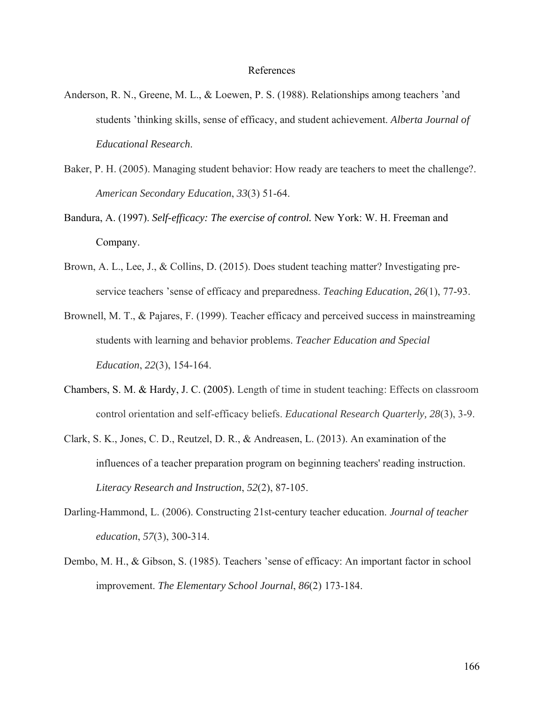#### References

- Anderson, R. N., Greene, M. L., & Loewen, P. S. (1988). Relationships among teachers 'and students 'thinking skills, sense of efficacy, and student achievement. *Alberta Journal of Educational Research*.
- Baker, P. H. (2005). Managing student behavior: How ready are teachers to meet the challenge?. *American Secondary Education*, *33*(3) 51-64.
- Bandura, A. (1997). *Self-efficacy: The exercise of control.* New York: W. H. Freeman and Company.
- Brown, A. L., Lee, J., & Collins, D. (2015). Does student teaching matter? Investigating preservice teachers 'sense of efficacy and preparedness. *Teaching Education*, *26*(1), 77-93.
- Brownell, M. T., & Pajares, F. (1999). Teacher efficacy and perceived success in mainstreaming students with learning and behavior problems. *Teacher Education and Special Education*, *22*(3), 154-164.
- Chambers, S. M. & Hardy, J. C. (2005). Length of time in student teaching: Effects on classroom control orientation and self-efficacy beliefs. *Educational Research Quarterly, 28*(3), 3-9.
- Clark, S. K., Jones, C. D., Reutzel, D. R., & Andreasen, L. (2013). An examination of the influences of a teacher preparation program on beginning teachers' reading instruction. *Literacy Research and Instruction*, *52*(2), 87-105.
- Darling-Hammond, L. (2006). Constructing 21st-century teacher education. *Journal of teacher education*, *57*(3), 300-314.
- Dembo, M. H., & Gibson, S. (1985). Teachers 'sense of efficacy: An important factor in school improvement. *The Elementary School Journal*, *86*(2) 173-184.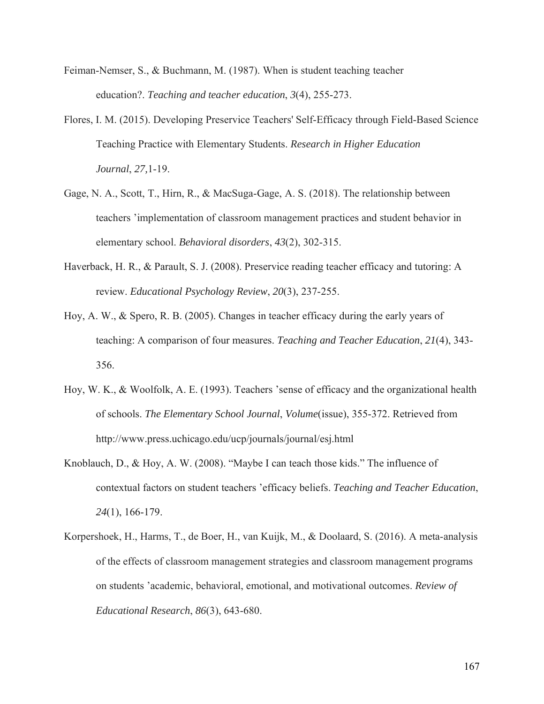- Feiman-Nemser, S., & Buchmann, M. (1987). When is student teaching teacher education?. *Teaching and teacher education*, *3*(4), 255-273.
- Flores, I. M. (2015). Developing Preservice Teachers' Self-Efficacy through Field-Based Science Teaching Practice with Elementary Students. *Research in Higher Education Journal*, *27,*1-19.
- Gage, N. A., Scott, T., Hirn, R., & MacSuga-Gage, A. S. (2018). The relationship between teachers 'implementation of classroom management practices and student behavior in elementary school. *Behavioral disorders*, *43*(2), 302-315.
- Haverback, H. R., & Parault, S. J. (2008). Preservice reading teacher efficacy and tutoring: A review. *Educational Psychology Review*, *20*(3), 237-255.
- Hoy, A. W., & Spero, R. B. (2005). Changes in teacher efficacy during the early years of teaching: A comparison of four measures. *Teaching and Teacher Education*, *21*(4), 343- 356.
- Hoy, W. K., & Woolfolk, A. E. (1993). Teachers 'sense of efficacy and the organizational health of schools. *The Elementary School Journal*, *Volume*(issue), 355-372. Retrieved from http://www.press.uchicago.edu/ucp/journals/journal/esj.html
- Knoblauch, D., & Hoy, A. W. (2008). "Maybe I can teach those kids." The influence of contextual factors on student teachers 'efficacy beliefs. *Teaching and Teacher Education*, *24*(1), 166-179.
- Korpershoek, H., Harms, T., de Boer, H., van Kuijk, M., & Doolaard, S. (2016). A meta-analysis of the effects of classroom management strategies and classroom management programs on students 'academic, behavioral, emotional, and motivational outcomes. *Review of Educational Research*, *86*(3), 643-680.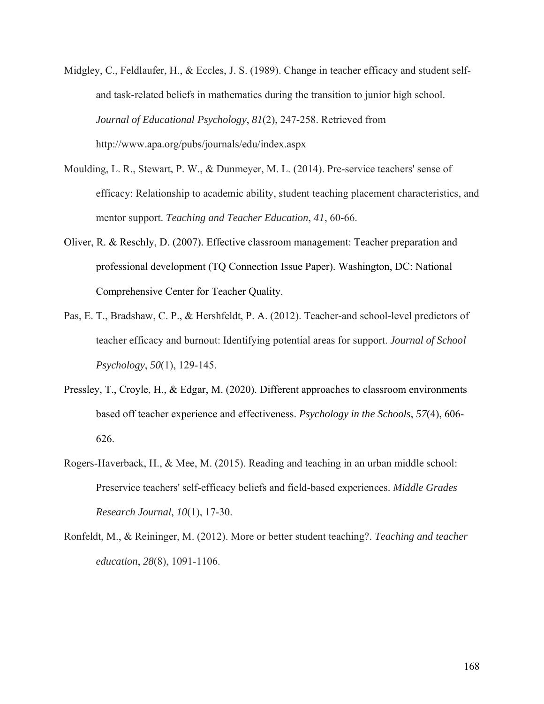- Midgley, C., Feldlaufer, H., & Eccles, J. S. (1989). Change in teacher efficacy and student selfand task-related beliefs in mathematics during the transition to junior high school. *Journal of Educational Psychology*, *81*(2), 247-258. Retrieved from http://www.apa.org/pubs/journals/edu/index.aspx
- Moulding, L. R., Stewart, P. W., & Dunmeyer, M. L. (2014). Pre-service teachers' sense of efficacy: Relationship to academic ability, student teaching placement characteristics, and mentor support. *Teaching and Teacher Education*, *41*, 60-66.
- Oliver, R. & Reschly, D. (2007). Effective classroom management: Teacher preparation and professional development (TQ Connection Issue Paper). Washington, DC: National Comprehensive Center for Teacher Quality.
- Pas, E. T., Bradshaw, C. P., & Hershfeldt, P. A. (2012). Teacher-and school-level predictors of teacher efficacy and burnout: Identifying potential areas for support. *Journal of School Psychology*, *50*(1), 129-145.
- Pressley, T., Croyle, H., & Edgar, M. (2020). Different approaches to classroom environments based off teacher experience and effectiveness. *Psychology in the Schools*, *57*(4), 606- 626.
- Rogers-Haverback, H., & Mee, M. (2015). Reading and teaching in an urban middle school: Preservice teachers' self-efficacy beliefs and field-based experiences. *Middle Grades Research Journal*, *10*(1), 17-30.
- Ronfeldt, M., & Reininger, M. (2012). More or better student teaching?. *Teaching and teacher education*, *28*(8), 1091-1106.